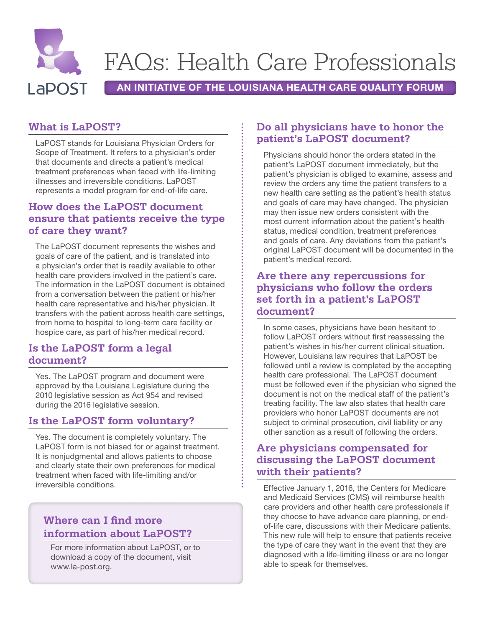

# FAQs: Health Care Professionals

AN INITIATIVE OF THE LOUISIANA HEALTH CARE QUALITY FORUM

## **What is LaPOST?**

LaPOST stands for Louisiana Physician Orders for Scope of Treatment. It refers to a physician's order that documents and directs a patient's medical treatment preferences when faced with life-limiting illnesses and irreversible conditions. LaPOST represents a model program for end-of-life care.

# **How does the LaPOST document ensure that patients receive the type of care they want?**

The LaPOST document represents the wishes and goals of care of the patient, and is translated into a physician's order that is readily available to other health care providers involved in the patient's care. The information in the LaPOST document is obtained from a conversation between the patient or his/her health care representative and his/her physician. It transfers with the patient across health care settings, from home to hospital to long-term care facility or hospice care, as part of his/her medical record.

#### **Is the LaPOST form a legal document?**

Yes. The LaPOST program and document were approved by the Louisiana Legislature during the 2010 legislative session as Act 954 and revised during the 2016 legislative session.

#### **Is the LaPOST form voluntary?**

Yes. The document is completely voluntary. The LaPOST form is not biased for or against treatment. It is nonjudgmental and allows patients to choose and clearly state their own preferences for medical treatment when faced with life-limiting and/or irreversible conditions.

# **Where can I find more information about LaPOST?**

For more information about LaPOST, or to download a copy of the document, visit www.la-post.org.

## **Do all physicians have to honor the patient's LaPOST document?**

Physicians should honor the orders stated in the patient's LaPOST document immediately, but the patient's physician is obliged to examine, assess and review the orders any time the patient transfers to a new health care setting as the patient's health status and goals of care may have changed. The physician may then issue new orders consistent with the most current information about the patient's health status, medical condition, treatment preferences and goals of care. Any deviations from the patient's original LaPOST document will be documented in the patient's medical record.

#### **Are there any repercussions for physicians who follow the orders set forth in a patient's LaPOST document?**

In some cases, physicians have been hesitant to follow LaPOST orders without first reassessing the patient's wishes in his/her current clinical situation. However, Louisiana law requires that LaPOST be followed until a review is completed by the accepting health care professional. The LaPOST document must be followed even if the physician who signed the document is not on the medical staff of the patient's treating facility. The law also states that health care providers who honor LaPOST documents are not subject to criminal prosecution, civil liability or any other sanction as a result of following the orders.

## **Are physicians compensated for discussing the LaPOST document with their patients?**

Effective January 1, 2016, the Centers for Medicare and Medicaid Services (CMS) will reimburse health care providers and other health care professionals if they choose to have advance care planning, or endof-life care, discussions with their Medicare patients. This new rule will help to ensure that patients receive the type of care they want in the event that they are diagnosed with a life-limiting illness or are no longer able to speak for themselves.